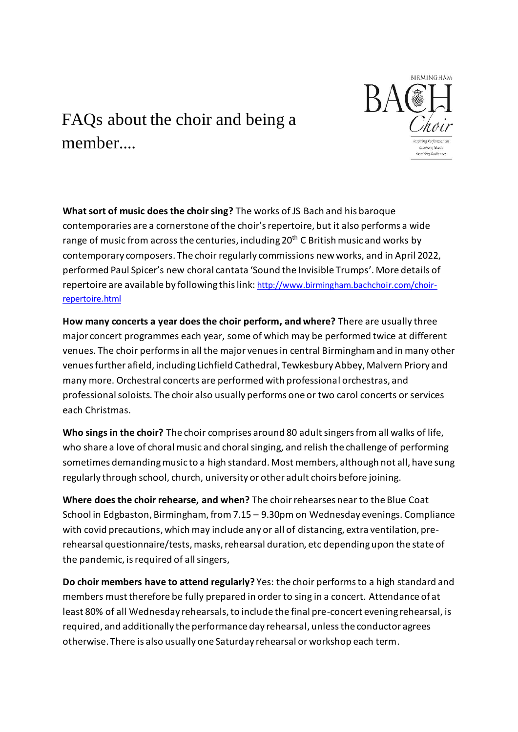

## FAQs about the choir and being a member

**What sort of music does the choir sing?** The works of JS Bach and his baroque contemporaries are a cornerstone of the choir's repertoire, but it also performs a wide range of music from across the centuries, including  $20<sup>th</sup>$  C British music and works by contemporary composers. The choir regularly commissions new works, and in April 2022, performed Paul Spicer's new choral cantata 'Sound the Invisible Trumps'. More details of repertoire are available by following this link: [http://www.birmingham.bachchoir.com/choir](http://www.birmingham.bachchoir.com/choir-repertoire.html)[repertoire.html](http://www.birmingham.bachchoir.com/choir-repertoire.html)

**How many concerts a year does the choir perform, and where?** There are usually three major concert programmes each year, some of which may be performed twice at different venues. The choir performs in all the major venues in central Birmingham and in many other venues further afield, including Lichfield Cathedral, Tewkesbury Abbey, Malvern Priory and many more. Orchestral concerts are performed with professional orchestras, and professional soloists. The choir also usually performs one or two carol concerts or services each Christmas.

**Who sings in the choir?** The choir comprises around 80 adult singers from all walks of life, who share a love of choral music and choral singing, and relish the challenge of performing sometimes demanding music to a high standard. Most members, although not all, have sung regularly through school, church, university or other adult choirs before joining.

**Where does the choir rehearse, and when?** The choir rehearses near to the Blue Coat School in Edgbaston, Birmingham, from 7.15 – 9.30pm on Wednesday evenings. Compliance with covid precautions, which may include any or all of distancing, extra ventilation, prerehearsal questionnaire/tests, masks, rehearsal duration, etc depending upon the state of the pandemic, is required of all singers,

**Do choir members have to attend regularly?** Yes: the choir performs to a high standard and members must therefore be fully prepared in order to sing in a concert. Attendance of at least 80% of all Wednesday rehearsals, to include the final pre-concert evening rehearsal, is required, and additionally the performance day rehearsal, unless the conductor agrees otherwise. There is also usually one Saturday rehearsal or workshop each term.